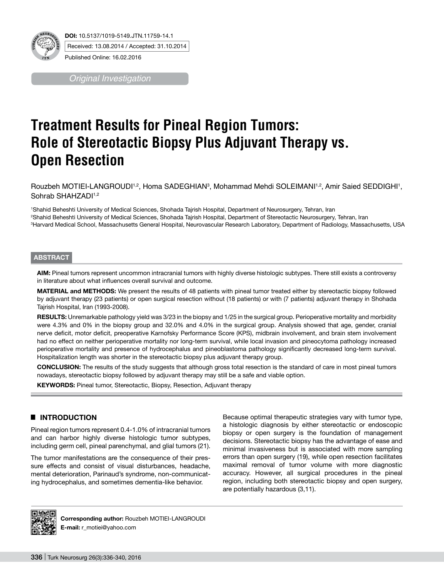

*Original Investigation*

# **Treatment Results for Pineal Region Tumors: Role of Stereotactic Biopsy Plus Adjuvant Therapy vs. Open Resection**

Rouzbeh MOTIEI-LANGROUDI<sup>1,2</sup>, Homa SADEGHIAN<sup>3</sup>, Mohammad Mehdi SOLEIMANI<sup>1,2</sup>, Amir Saied SEDDIGHI<sup>1</sup>, Sohrab SHAHZADI<sup>1,2</sup>

1 Shahid Beheshti University of Medical Sciences, Shohada Tajrish Hospital, Department of Neurosurgery, Tehran, Iran 2 Shahid Beheshti University of Medical Sciences, Shohada Tajrish Hospital, Department of Stereotactic Neurosurgery, Tehran, Iran 3 Harvard Medical School, Massachusetts General Hospital, Neurovascular Research Laboratory, Department of Radiology, Massachusetts, USA

#### **ABSTRACT**

**AIm:** Pineal tumors represent uncommon intracranial tumors with highly diverse histologic subtypes. There still exists a controversy in literature about what influences overall survival and outcome.

**MaterIal and Methods:** We present the results of 48 patients with pineal tumor treated either by stereotactic biopsy followed by adjuvant therapy (23 patients) or open surgical resection without (18 patients) or with (7 patients) adjuvant therapy in Shohada Tajrish Hospital, Iran (1993-2008).

**RESULTS:** Unremarkable pathology yield was 3/23 in the biopsy and 1/25 in the surgical group. Perioperative mortality and morbidity were 4.3% and 0% in the biopsy group and 32.0% and 4.0% in the surgical group. Analysis showed that age, gender, cranial nerve deficit, motor deficit, preoperative Karnofsky Performance Score (KPS), midbrain involvement, and brain stem involvement had no effect on neither perioperative mortality nor long-term survival, while local invasion and pineocytoma pathology increased perioperative mortality and presence of hydrocephalus and pineoblastoma pathology significantly decreased long-term survival. Hospitalization length was shorter in the stereotactic biopsy plus adjuvant therapy group.

**ConclusIon:** The results of the study suggests that although gross total resection is the standard of care in most pineal tumors nowadays, stereotactic biopsy followed by adjuvant therapy may still be a safe and viable option.

**KEYWORDS:** Pineal tumor, Stereotactic, Biopsy, Resection, Adjuvant therapy

## █ **Introduction**

Pineal region tumors represent 0.4-1.0% of intracranial tumors and can harbor highly diverse histologic tumor subtypes, including germ cell, pineal parenchymal, and glial tumors (21).

The tumor manifestations are the consequence of their pressure effects and consist of visual disturbances, headache, mental deterioration, Parinaud's syndrome, non-communicating hydrocephalus, and sometimes dementia-like behavior.

Because optimal therapeutic strategies vary with tumor type, a histologic diagnosis by either stereotactic or endoscopic biopsy or open surgery is the foundation of management decisions. Stereotactic biopsy has the advantage of ease and minimal invasiveness but is associated with more sampling errors than open surgery (19), while open resection facilitates maximal removal of tumor volume with more diagnostic accuracy. However, all surgical procedures in the pineal region, including both stereotactic biopsy and open surgery, are potentially hazardous (3,11).



**Corresponding author: Rouzbeh MOTIEI-LANGROUDI E-mail:** r\_motiei@yahoo.com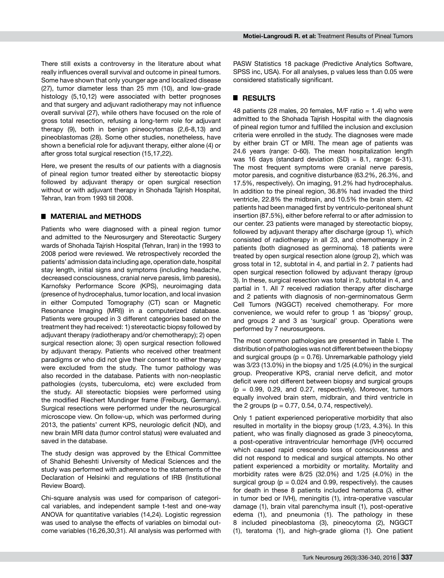There still exists a controversy in the literature about what really influences overall survival and outcome in pineal tumors. Some have shown that only younger age and localized disease (27), tumor diameter less than 25 mm (10), and low-grade histology (5,10,12) were associated with better prognoses and that surgery and adjuvant radiotherapy may not influence overall survival (27), while others have focused on the role of gross total resection, refusing a long-term role for adjuvant therapy (9), both in benign pineocytomas (2,6-8,13) and pineoblastomas (28). Some other studies, nonetheless, have shown a beneficial role for adjuvant therapy, either alone (4) or after gross total surgical resection (15,17,22).

Here, we present the results of our patients with a diagnosis of pineal region tumor treated either by stereotactic biopsy followed by adjuvant therapy or open surgical resection without or with adjuvant therapy in Shohada Tajrish Hospital, Tehran, Iran from 1993 till 2008.

## █ **Material and Methods**

Patients who were diagnosed with a pineal region tumor and admitted to the Neurosurgery and Stereotactic Surgery wards of Shohada Tajrish Hospital (Tehran, Iran) in the 1993 to 2008 period were reviewed. We retrospectively recorded the patients' admission data including age, operation date, hospital stay length, initial signs and symptoms (including headache, decreased consciousness, cranial nerve paresis, limb paresis), Karnofsky Performance Score (KPS), neuroimaging data (presence of hydrocephalus, tumor location, and local invasion in either Computed Tomography (CT) scan or Magnetic Resonance Imaging (MRI)) in a computerized database. Patients were grouped in 3 different categories based on the treatment they had received: 1) stereotactic biopsy followed by adjuvant therapy (radiotherapy and/or chemotherapy); 2) open surgical resection alone; 3) open surgical resection followed by adjuvant therapy. Patients who received other treatment paradigms or who did not give their consent to either therapy were excluded from the study. The tumor pathology was also recorded in the database. Patients with non-neoplastic pathologies (cysts, tuberculoma, etc) were excluded from the study. All stereotactic biopsies were performed using the modified Riechert Mundinger frame (Freiburg, Germany). Surgical resections were performed under the neurosurgical microscope view. On follow-up, which was performed during 2013, the patients' current KPS, neurologic deficit (ND), and new brain MRI data (tumor control status) were evaluated and saved in the database.

The study design was approved by the Ethical Committee of Shahid Beheshti University of Medical Sciences and the study was performed with adherence to the statements of the Declaration of Helsinki and regulations of IRB (Institutional Review Board).

Chi-square analysis was used for comparison of categorical variables, and independent sample t-test and one-way ANOVA for quantitative variables (14,24). Logistic regression was used to analyse the effects of variables on bimodal outcome variables (16,26,30,31). All analysis was performed with

PASW Statistics 18 package (Predictive Analytics Software, SPSS inc, USA). For all analyses, p values less than 0.05 were considered statistically significant.

# █ **Results**

48 patients (28 males, 20 females, M/F ratio  $= 1.4$ ) who were admitted to the Shohada Tajrish Hospital with the diagnosis of pineal region tumor and fulfilled the inclusion and exclusion criteria were enrolled in the study. The diagnoses were made by either brain CT or MRI. The mean age of patients was 24.6 years (range: 0-60). The mean hospitalization length was 16 days (standard deviation  $(SD) = 8.1$ , range: 6-31). The most frequent symptoms were cranial nerve paresis, motor paresis, and cognitive disturbance (63.2%, 26.3%, and 17.5%, respectively). On imaging, 91.2% had hydrocephalus. In addition to the pineal region, 36.8% had invaded the third ventricle, 22.8% the midbrain, and 10.5% the brain stem. 42 patients had been managed first by ventriculo-peritoneal shunt insertion (87.5%), either before referral to or after admission to our center. 23 patients were managed by stereotactic biopsy, followed by adjuvant therapy after discharge (group 1), which consisted of radiotherapy in all 23, and chemotherapy in 2 patients (both diagnosed as germinoma). 18 patients were treated by open surgical resection alone (group 2), which was gross total in 12, subtotal in 4, and partial in 2. 7 patients had open surgical resection followed by adjuvant therapy (group 3). In these, surgical resection was total in 2, subtotal in 4, and partial in 1. All 7 received radiation therapy after discharge and 2 patients with diagnosis of non-germinomatous Germ Cell Tumors (NGGCT) received chemotherapy. For more convenience, we would refer to group 1 as 'biopsy' group, and groups 2 and 3 as 'surgical' group. Operations were performed by 7 neurosurgeons.

The most common pathologies are presented in Table I. The distribution of pathologies was not different between the biopsy and surgical groups ( $p = 0.76$ ). Unremarkable pathology yield was 3/23 (13.0%) in the biopsy and 1/25 (4.0%) in the surgical group. Preoperative KPS, cranial nerve deficit, and motor deficit were not different between biopsy and surgical groups  $(p = 0.99, 0.29, and 0.27, respectively).$  Moreover, tumors equally involved brain stem, midbrain, and third ventricle in the 2 groups ( $p = 0.77, 0.54, 0.74$ , respectively).

Only 1 patient experienced perioperative morbidity that also resulted in mortality in the biopsy group (1/23, 4.3%). In this patient, who was finally diagnosed as grade 3 pineocytoma, a post-operative intraventricular hemorrhage (IVH) occurred which caused rapid crescendo loss of consciousness and did not respond to medical and surgical attempts. No other patient experienced a morbidity or mortality. Mortality and morbidity rates were 8/25 (32.0%) and 1/25 (4.0%) in the surgical group ( $p = 0.024$  and 0.99, respectively). the causes for death in these 8 patients included hematoma (3, either in tumor bed or IVH), meningitis (1), intra-operative vascular damage (1), brain vital parenchyma insult (1), post-operative edema (1), and pneumonia (1). The pathology in these 8 included pineoblastoma (3), pineocytoma (2), NGGCT (1), teratoma (1), and high-grade glioma (1). One patient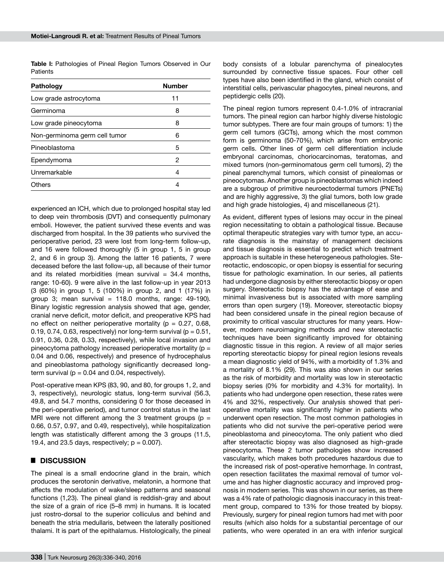Table I: Pathologies of Pineal Region Tumors Observed in Our **Patients** 

| Pathology                     | <b>Number</b> |
|-------------------------------|---------------|
| Low grade astrocytoma         | 11            |
| Germinoma                     | 8             |
| Low grade pineocytoma         | 8             |
| Non-germinoma germ cell tumor | հ             |
| Pineoblastoma                 | 5             |
| Ependymoma                    | 2             |
| Unremarkable                  | 4             |
| Others                        |               |

experienced an ICH, which due to prolonged hospital stay led to deep vein thrombosis (DVT) and consequently pulmonary emboli. However, the patient survived these events and was discharged from hospital. In the 39 patients who survived the perioperative period, 23 were lost from long-term follow-up, and 16 were followed thoroughly (5 in group 1, 5 in group 2, and 6 in group 3). Among the latter 16 patients, 7 were deceased before the last follow-up, all because of their tumor and its related morbidities (mean survival  $= 34.4$  months, range: 10-60). 9 were alive in the last follow-up in year 2013 (3 (60%) in group 1, 5 (100%) in group 2, and 1 (17%) in group 3; mean survival =  $118.0$  months, range: 49-190). Binary logistic regression analysis showed that age, gender, cranial nerve deficit, motor deficit, and preoperative KPS had no effect on neither perioperative mortality ( $p = 0.27, 0.68$ , 0.19, 0.74, 0.63, respectively) nor long-term survival ( $p = 0.51$ , 0.91, 0.36, 0.28, 0.33, respectively), while local invasion and pineocytoma pathology increased perioperative mortality ( $p =$ 0.04 and 0.06, respectively) and presence of hydrocephalus and pineoblastoma pathology significantly decreased longterm survival ( $p = 0.04$  and 0.04, respectively).

Post-operative mean KPS (83, 90, and 80, for groups 1, 2, and 3, respectively), neurologic status, long-term survival (56.3, 49.8, and 54.7 months, considering 0 for those deceased in the peri-operative period), and tumor control status in the last MRI were not different among the 3 treatment groups ( $p =$ 0.66, 0.57, 0.97, and 0.49, respectively), while hospitalization length was statistically different among the 3 groups (11.5, 19.4, and 23.5 days, respectively;  $p = 0.007$ ).

#### █ **Discussion**

The pineal is a small endocrine gland in the brain, which produces the serotonin derivative, melatonin, a hormone that affects the modulation of wake/sleep patterns and seasonal functions (1,23). The pineal gland is reddish-gray and about the size of a grain of rice (5–8 mm) in humans. It is located just rostro-dorsal to the superior colliculus and behind and beneath the stria medullaris, between the laterally positioned thalami. It is part of the epithalamus. Histologically, the pineal body consists of a lobular parenchyma of pinealocytes surrounded by connective tissue spaces. Four other cell types have also been identified in the gland, which consist of interstitial cells, perivascular phagocytes, pineal neurons, and peptidergic cells (20).

The pineal region tumors represent 0.4-1.0% of intracranial tumors. The pineal region can harbor highly diverse histologic tumor subtypes. There are four main groups of tumors: 1) the germ cell tumors (GCTs), among which the most common form is germinoma (50-70%), which arise from embryonic germ cells. Other lines of germ cell differentiation include embryonal carcinomas, choriocarcinomas, teratomas, and mixed tumors (non-germinomatous germ cell tumors), 2) the pineal parenchymal tumors, which consist of pinealomas or pineocytomas. Another group is pineoblastomas which indeed are a subgroup of primitive neuroectodermal tumors (PNETs) and are highly aggressive, 3) the glial tumors, both low grade and high grade histologies, 4) and miscellaneous (21).

As evident, different types of lesions may occur in the pineal region necessitating to obtain a pathological tissue. Because optimal therapeutic strategies vary with tumor type, an accurate diagnosis is the mainstay of management decisions and tissue diagnosis is essential to predict which treatment approach is suitable in these heterogeneous pathologies. Stereotactic, endoscopic, or open biopsy is essential for securing tissue for pathologic examination. In our series, all patients had undergone diagnosis by either stereotactic biopsy or open surgery. Stereotactic biopsy has the advantage of ease and minimal invasiveness but is associated with more sampling errors than open surgery (19). Moreover, stereotactic biopsy had been considered unsafe in the pineal region because of proximity to critical vascular structures for many years. However, modern neuroimaging methods and new stereotactic techniques have been significantly improved for obtaining diagnostic tissue in this region. A review of all major series reporting stereotactic biopsy for pineal region lesions reveals a mean diagnostic yield of 94%, with a morbidity of 1.3% and a mortality of 8.1% (29). This was also shown in our series as the risk of morbidity and mortality was low in stereotactic biopsy series (0% for morbidity and 4.3% for mortality). In patients who had undergone open resection, these rates were 4% and 32%, respectively. Our analysis showed that perioperative mortality was significantly higher in patients who underwent open resection. The most common pathologies in patients who did not survive the peri-operative period were pineoblastoma and pineocytoma. The only patient who died after stereotactic biopsy was also diagnosed as high-grade pineocytoma. These 2 tumor pathologies show increased vascularity, which makes both procedures hazardous due to the increased risk of post-operative hemorrhage. In contrast, open resection facilitates the maximal removal of tumor volume and has higher diagnostic accuracy and improved prognosis in modern series. This was shown in our series, as there was a 4% rate of pathologic diagnosis inaccuracy in this treatment group, compared to 13% for those treated by biopsy. Previously, surgery for pineal region tumors had met with poor results (which also holds for a substantial percentage of our patients, who were operated in an era with inferior surgical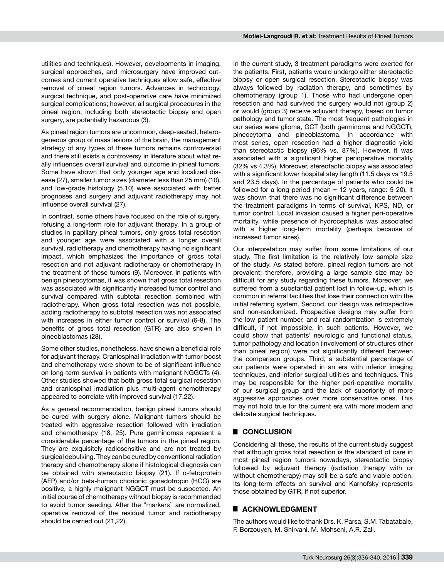utilities and techniques). However, developments in imaging, surgical approaches, and microsurgery have improved outcomes and current operative techniques allow safe, effective removal of pineal region tumors. Advances in technology, surgical technique, and post-operative care have minimized surgical complications; however, all surgical procedures in the pineal region, including both stereotactic biopsy and open surgery, are potentially hazardous (3).

As pineal region tumors are uncommon, deep-seated, heterogeneous group of mass lesions of the brain, the management strategy of any types of these tumors remains controversial and there still exists a controversy in literature about what really influences overall survival and outcome in pineal tumors. Some have shown that only younger age and localized disease (27), smaller tumor sizes (diameter less than 25 mm) (10), and low-grade histology (5,10) were associated with better prognoses and surgery and adjuvant radiotherapy may not influence overall survival (27).

In contrast, some others have focused on the role of surgery, refusing a long-term role for adjuvant therapy. In a group of studies in papillary pineal tumors, only gross total resection and younger age were associated with a longer overall survival, radiotherapy and chemotherapy having no significant impact, which emphasizes the importance of gross total resection and not adjuvant radiotherapy or chemotherapy in the treatment of these tumors (9). Moreover, in patients with benign pineocytomas, it was shown that gross total resection was associated with significantly increased tumor control and survival compared with subtotal resection combined with radiotherapy. When gross total resection was not possible, adding radiotherapy to subtotal resection was not associated with increases in either tumor control or survival (6-8). The benefits of gross total resection (GTR) are also shown in pineoblastomas (28).

Some other studies, nonetheless, have shown a beneficial role for adjuvant therapy. Craniospinal irradiation with tumor boost and chemotherapy were shown to be of significant influence on long-term survival in patients with malignant NGGCTs (4). Other studies showed that both gross total surgical resection and craniospinal irradiation plus multi-agent chemotherapy appeared to correlate with improved survival (17,22).

As a general recommendation, benign pineal tumors should be cured with surgery alone. Malignant tumors should be treated with aggressive resection followed with irradiation and chemotherapy (18, 25). Pure germinomas represent a considerable percentage of the tumors in the pineal region. They are exquisitely radiosensitive and are not treated by surgical debulking. They can be cured by conventional radiation therapy and chemotherapy alone if histological diagnosis can be obtained with stereotactic biopsy (21). If α-fetoprotein (AFP) and/or beta-human chorionic gonadotropin (HCG) are positive, a highly malignant NGGCT must be suspected. An initial course of chemotherapy without biopsy is recommended to avoid tumor seeding. After the "markers" are normalized, operative removal of the residual tumor and radiotherapy should be carried out (21,22).

In the current study, 3 treatment paradigms were exerted for the patients. First, patients would undergo either stereotactic biopsy or open surgical resection. Stereotactic biopsy was always followed by radiation therapy, and sometimes by chemotherapy (group 1). Those who had undergone open resection and had survived the surgery would not (group 2) or would (group 3) receive adjuvant therapy, based on tumor pathology and tumor state. The most frequent pathologies in our series were glioma, GCT (both germinoma and NGGCT), pineocytoma and pineoblastoma. In accordance with most series, open resection had a higher diagnostic yield than stereotactic biopsy (96% vs. 87%). However, it was associated with a significant higher perioperative mortality (32% vs 4.3%). Moreover, stereotactic biopsy was associated with a significant lower hospital stay length (11.5 days vs 19.5 and 23.5 days). In the percentage of patients who could be followed for a long period (mean  $= 12$  years, range: 5-20), it was shown that there was no significant difference between the treatment paradigms in terms of survival, KPS, ND, or tumor control. Local invasion caused a higher peri-operative mortality, while presence of hydrocephalus was associated with a higher long-term mortality (perhaps because of increased tumor sizes).

Our interpretation may suffer from some limitations of our study. The first limitation is the relatively low sample size of the study. As stated before, pineal region tumors are not prevalent; therefore, providing a large sample size may be difficult for any study regarding these tumors. Moreover, we suffered from a substantial patient lost in follow-up, which is common in referral facilities that lose their connection with the initial referring system. Second, our design was retrospective and non-randomized. Prospective designs may suffer from the low patient number, and real randomization is extremely difficult, if not impossible, in such patients. However, we could show that patients' neurologic and functional status, tumor pathology and location (involvement of structures other than pineal region) were not significantly different between the comparison groups. Third, a substantial percentage of our patients were operated in an era with inferior imaging techniques, and inferior surgical utilities and techniques. This may be responsible for the higher peri-operative mortality of our surgical group and the lack of superiority of more aggressive approaches over more conservative ones. This may not hold true for the current era with more modern and delicate surgical techniques.

## █ **Conclusion**

Considering all these, the results of the current study suggest that although gross total resection is the standard of care in most pineal region tumors nowadays, stereotactic biopsy followed by adjuvant therapy (radiation therapy with or without chemotherapy) may still be a safe and viable option. Its long-term effects on survival and Karnofsky represents those obtained by GTR, if not superior.

#### ■ **ACKNOWLEDGMENT**

The authors would like to thank Drs. K. Parsa, S.M. Tabatabaie, F. Borzouyeh, M. Shirvani, M. Mohseni, A.R. Zali.